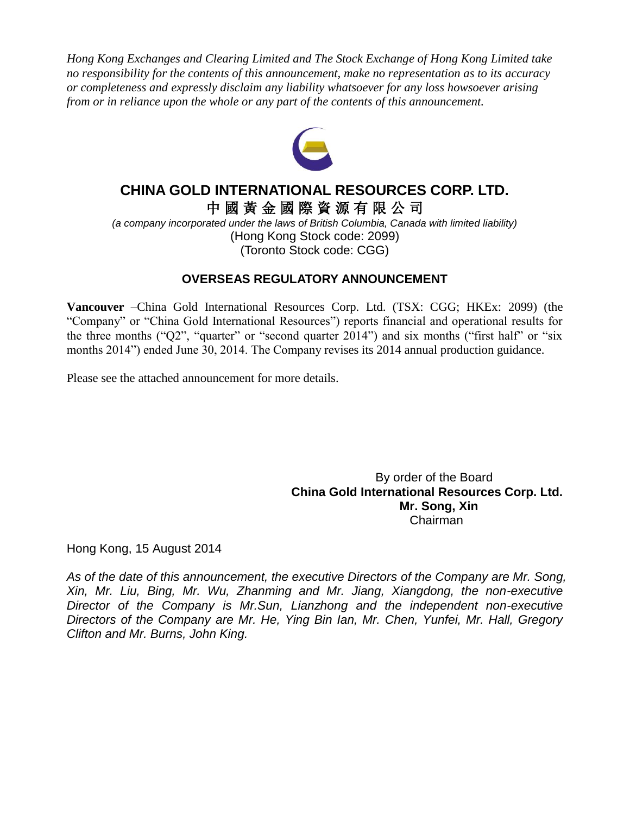*Hong Kong Exchanges and Clearing Limited and The Stock Exchange of Hong Kong Limited take no responsibility for the contents of this announcement, make no representation as to its accuracy or completeness and expressly disclaim any liability whatsoever for any loss howsoever arising from or in reliance upon the whole or any part of the contents of this announcement.*



### **CHINA GOLD INTERNATIONAL RESOURCES CORP. LTD.** 中 國 黃 金 國 際 資 源 有 限 公 司

*(a company incorporated under the laws of British Columbia, Canada with limited liability)* (Hong Kong Stock code: 2099) (Toronto Stock code: CGG)

#### **OVERSEAS REGULATORY ANNOUNCEMENT**

**Vancouver** –China Gold International Resources Corp. Ltd. (TSX: CGG; HKEx: 2099) (the "Company" or "China Gold International Resources") reports financial and operational results for the three months ("Q2", "quarter" or "second quarter 2014") and six months ("first half" or "six months 2014") ended June 30, 2014. The Company revises its 2014 annual production guidance.

Please see the attached announcement for more details.

 By order of the Board **China Gold International Resources Corp. Ltd. Mr. Song, Xin** Chairman

Hong Kong, 15 August 2014

*As of the date of this announcement, the executive Directors of the Company are Mr. Song, Xin, Mr. Liu, Bing, Mr. Wu, Zhanming and Mr. Jiang, Xiangdong, the non-executive Director of the Company is Mr.Sun, Lianzhong and the independent non-executive Directors of the Company are Mr. He, Ying Bin Ian, Mr. Chen, Yunfei, Mr. Hall, Gregory Clifton and Mr. Burns, John King.*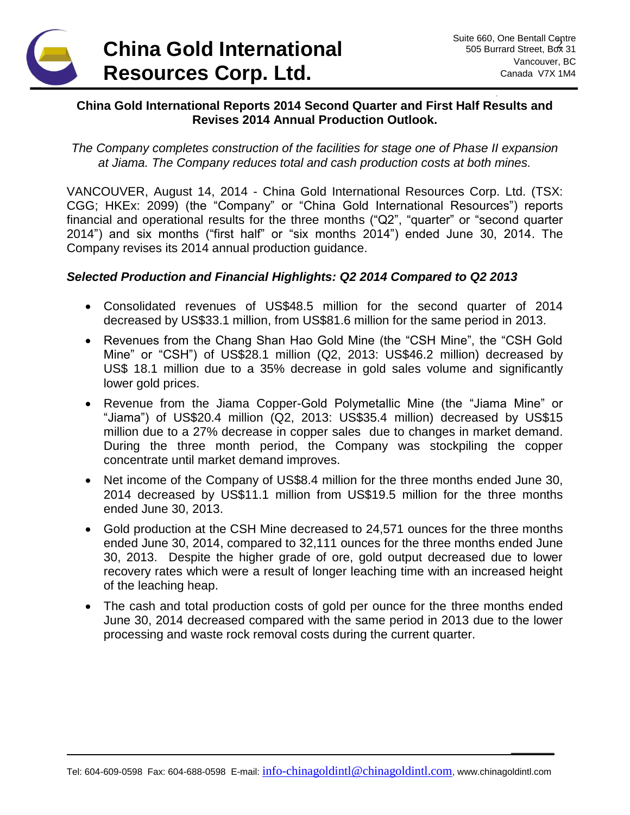

**\_\_\_\_\_\_**

#### **China Gold International Reports 2014 Second Quarter and First Half Results and Revises 2014 Annual Production Outlook.**

*The Company completes construction of the facilities for stage one of Phase II expansion at Jiama. The Company reduces total and cash production costs at both mines.*

VANCOUVER, August 14, 2014 - China Gold International Resources Corp. Ltd. (TSX: CGG; HKEx: 2099) (the "Company" or "China Gold International Resources") reports financial and operational results for the three months ("Q2", "quarter" or "second quarter 2014") and six months ("first half" or "six months 2014") ended June 30, 2014. The Company revises its 2014 annual production guidance.

#### *Selected Production and Financial Highlights: Q2 2014 Compared to Q2 2013*

- Consolidated revenues of US\$48.5 million for the second quarter of 2014 decreased by US\$33.1 million, from US\$81.6 million for the same period in 2013.
- Revenues from the Chang Shan Hao Gold Mine (the "CSH Mine", the "CSH Gold Mine" or "CSH") of US\$28.1 million (Q2, 2013: US\$46.2 million) decreased by US\$ 18.1 million due to a 35% decrease in gold sales volume and significantly lower gold prices.
- Revenue from the Jiama Copper-Gold Polymetallic Mine (the "Jiama Mine" or "Jiama") of US\$20.4 million (Q2, 2013: US\$35.4 million) decreased by US\$15 million due to a 27% decrease in copper sales due to changes in market demand. During the three month period, the Company was stockpiling the copper concentrate until market demand improves.
- Net income of the Company of US\$8.4 million for the three months ended June 30, 2014 decreased by US\$11.1 million from US\$19.5 million for the three months ended June 30, 2013.
- Gold production at the CSH Mine decreased to 24,571 ounces for the three months ended June 30, 2014, compared to 32,111 ounces for the three months ended June 30, 2013. Despite the higher grade of ore, gold output decreased due to lower recovery rates which were a result of longer leaching time with an increased height of the leaching heap.
- The cash and total production costs of gold per ounce for the three months ended June 30, 2014 decreased compared with the same period in 2013 due to the lower processing and waste rock removal costs during the current quarter.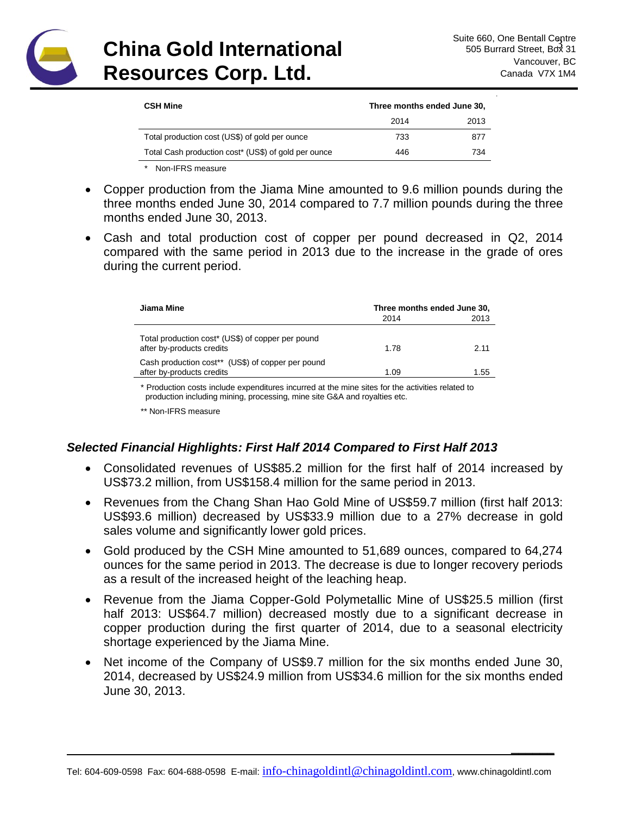

**\_\_\_\_\_\_**

| <b>CSH Mine</b>                                      | Three months ended June 30, |      |
|------------------------------------------------------|-----------------------------|------|
|                                                      | 2014                        | 2013 |
| Total production cost (US\$) of gold per ounce       | 733                         | 877  |
| Total Cash production cost* (US\$) of gold per ounce | 446                         | 734  |

*\** Non-IFRS measure

- Copper production from the Jiama Mine amounted to 9.6 million pounds during the three months ended June 30, 2014 compared to 7.7 million pounds during the three months ended June 30, 2013.
- Cash and total production cost of copper per pound decreased in Q2, 2014 compared with the same period in 2013 due to the increase in the grade of ores during the current period.

| Jiama Mine                                                                     | Three months ended June 30, |      |
|--------------------------------------------------------------------------------|-----------------------------|------|
|                                                                                | 2014                        | 2013 |
| Total production cost* (US\$) of copper per pound<br>after by-products credits | 1.78                        | 2.11 |
| Cash production cost** (US\$) of copper per pound<br>after by-products credits | 1.09                        | 1.55 |

\* Production costs include expenditures incurred at the mine sites for the activities related to production including mining, processing, mine site G&A and royalties etc.

\*\* Non-IFRS measure

#### *Selected Financial Highlights: First Half 2014 Compared to First Half 2013*

- Consolidated revenues of US\$85.2 million for the first half of 2014 increased by US\$73.2 million, from US\$158.4 million for the same period in 2013.
- Revenues from the Chang Shan Hao Gold Mine of US\$59.7 million (first half 2013: US\$93.6 million) decreased by US\$33.9 million due to a 27% decrease in gold sales volume and significantly lower gold prices.
- Gold produced by the CSH Mine amounted to 51,689 ounces, compared to 64,274 ounces for the same period in 2013. The decrease is due to longer recovery periods as a result of the increased height of the leaching heap.
- Revenue from the Jiama Copper-Gold Polymetallic Mine of US\$25.5 million (first half 2013: US\$64.7 million) decreased mostly due to a significant decrease in copper production during the first quarter of 2014, due to a seasonal electricity shortage experienced by the Jiama Mine.
- Net income of the Company of US\$9.7 million for the six months ended June 30, 2014, decreased by US\$24.9 million from US\$34.6 million for the six months ended June 30, 2013.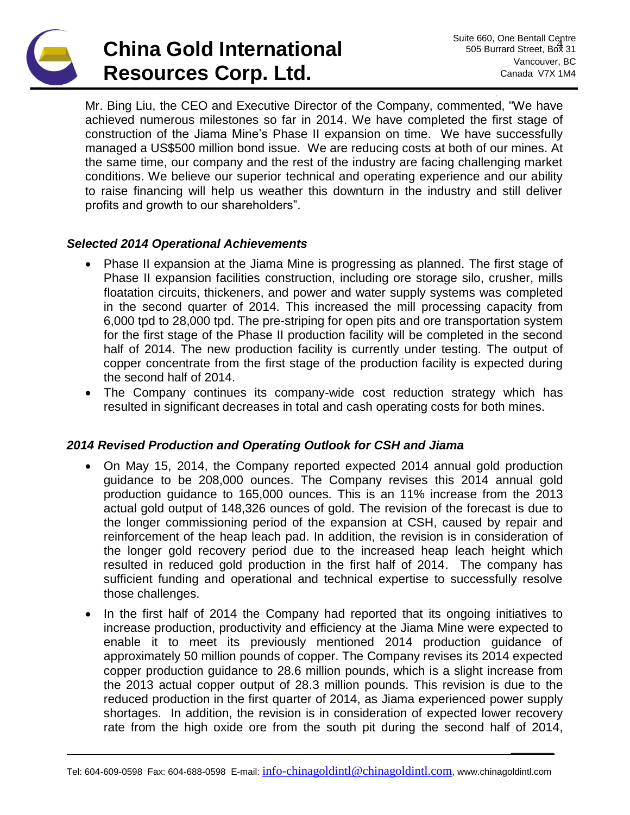**\_\_\_\_\_\_**

Mr. Bing Liu, the CEO and Executive Director of the Company, commented, "We have achieved numerous milestones so far in 2014. We have completed the first stage of construction of the Jiama Mine's Phase II expansion on time. We have successfully managed a US\$500 million bond issue. We are reducing costs at both of our mines. At the same time, our company and the rest of the industry are facing challenging market conditions. We believe our superior technical and operating experience and our ability to raise financing will help us weather this downturn in the industry and still deliver profits and growth to our shareholders".

### *Selected 2014 Operational Achievements*

- Phase II expansion at the Jiama Mine is progressing as planned. The first stage of Phase II expansion facilities construction, including ore storage silo, crusher, mills floatation circuits, thickeners, and power and water supply systems was completed in the second quarter of 2014. This increased the mill processing capacity from 6,000 tpd to 28,000 tpd. The pre-striping for open pits and ore transportation system for the first stage of the Phase II production facility will be completed in the second half of 2014. The new production facility is currently under testing. The output of copper concentrate from the first stage of the production facility is expected during the second half of 2014.
- The Company continues its company-wide cost reduction strategy which has resulted in significant decreases in total and cash operating costs for both mines.

### *2014 Revised Production and Operating Outlook for CSH and Jiama*

- On May 15, 2014, the Company reported expected 2014 annual gold production guidance to be 208,000 ounces. The Company revises this 2014 annual gold production guidance to 165,000 ounces. This is an 11% increase from the 2013 actual gold output of 148,326 ounces of gold. The revision of the forecast is due to the longer commissioning period of the expansion at CSH, caused by repair and reinforcement of the heap leach pad. In addition, the revision is in consideration of the longer gold recovery period due to the increased heap leach height which resulted in reduced gold production in the first half of 2014. The company has sufficient funding and operational and technical expertise to successfully resolve those challenges.
- In the first half of 2014 the Company had reported that its ongoing initiatives to increase production, productivity and efficiency at the Jiama Mine were expected to enable it to meet its previously mentioned 2014 production guidance of approximately 50 million pounds of copper. The Company revises its 2014 expected copper production guidance to 28.6 million pounds, which is a slight increase from the 2013 actual copper output of 28.3 million pounds. This revision is due to the reduced production in the first quarter of 2014, as Jiama experienced power supply shortages. In addition, the revision is in consideration of expected lower recovery rate from the high oxide ore from the south pit during the second half of 2014,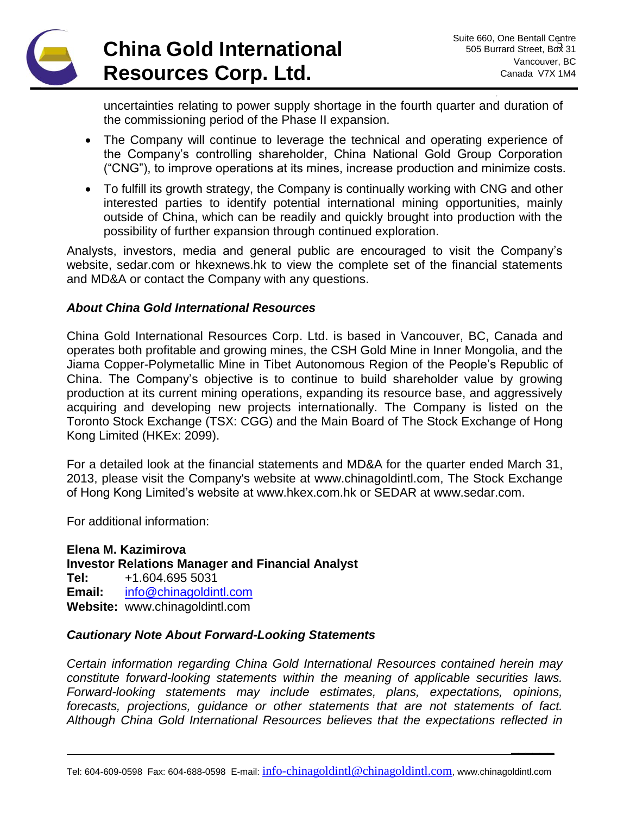**\_\_\_\_\_\_**

uncertainties relating to power supply shortage in the fourth quarter and duration of the commissioning period of the Phase II expansion.

- The Company will continue to leverage the technical and operating experience of the Company's controlling shareholder, China National Gold Group Corporation ("CNG"), to improve operations at its mines, increase production and minimize costs.
- To fulfill its growth strategy, the Company is continually working with CNG and other interested parties to identify potential international mining opportunities, mainly outside of China, which can be readily and quickly brought into production with the possibility of further expansion through continued exploration.

Analysts, investors, media and general public are encouraged to visit the Company's website, sedar.com or hkexnews.hk to view the complete set of the financial statements and MD&A or contact the Company with any questions.

#### *About China Gold International Resources*

China Gold International Resources Corp. Ltd. is based in Vancouver, BC, Canada and operates both profitable and growing mines, the CSH Gold Mine in Inner Mongolia, and the Jiama Copper-Polymetallic Mine in Tibet Autonomous Region of the People's Republic of China. The Company's objective is to continue to build shareholder value by growing production at its current mining operations, expanding its resource base, and aggressively acquiring and developing new projects internationally. The Company is listed on the Toronto Stock Exchange (TSX: CGG) and the Main Board of The Stock Exchange of Hong Kong Limited (HKEx: 2099).

For a detailed look at the financial statements and MD&A for the quarter ended March 31, 2013, please visit the Company's website at [www.chinagoldintl.com,](http://www.chinagoldintl.com/) The Stock Exchange of Hong Kong Limited's website at www.hkex.com.hk or SEDAR at [www.sedar.com.](http://www.sedar.com/)

For additional information:

**Elena M. Kazimirova Investor Relations Manager and Financial Analyst Tel:** +1.604.695 5031 **Email:** [info@chinagoldintl.com](mailto:info@chinagoldintl.com) **Website:** www.chinagoldintl.com

#### *Cautionary Note About Forward-Looking Statements*

*Certain information regarding China Gold International Resources contained herein may constitute forward-looking statements within the meaning of applicable securities laws. Forward-looking statements may include estimates, plans, expectations, opinions, forecasts, projections, guidance or other statements that are not statements of fact. Although China Gold International Resources believes that the expectations reflected in*